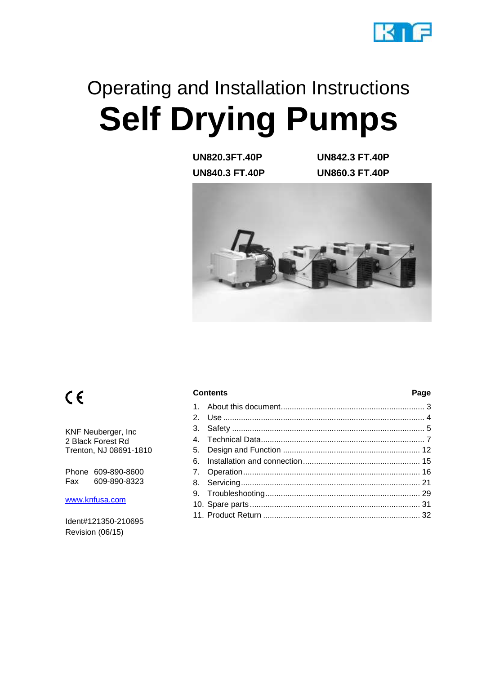

# Operating and Installation Instructions **Self Drying Pumps**

**UN820.3FT.40P UN840.3 FT.40P** **UN842.3 FT.40P UN860.3 FT.40P**



## $C \in$

KNF Neuberger, Inc 2 Black Forest Rd Trenton, NJ 08691-1810

Phone 609-890-8600 Fax 609-890-8323

[www.knfusa.com](http://www.knfusa.com/)

Ident#121350-210695 Revision (06/15)

#### **Contents Page**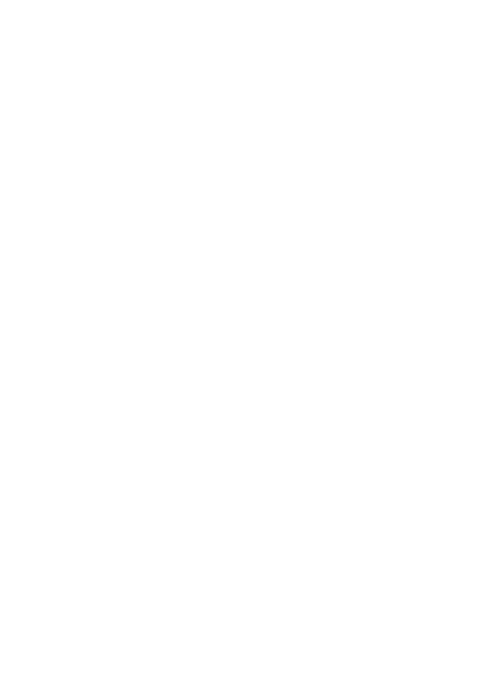<span id="page-1-0"></span>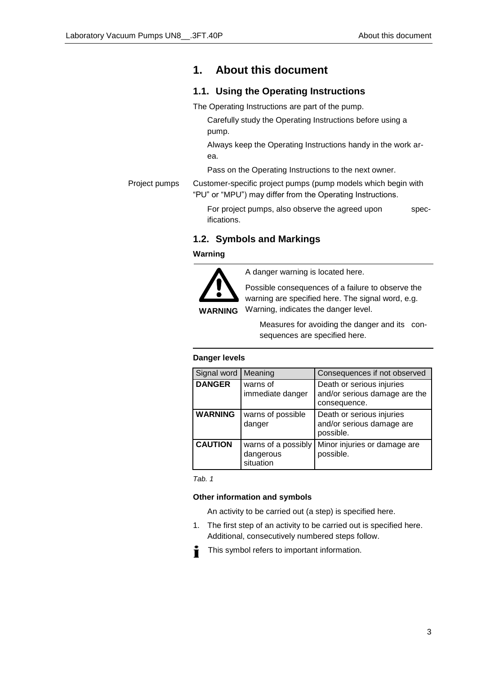### **1. About this document**

#### **1.1. Using the Operating Instructions**

The Operating Instructions are part of the pump.

Carefully study the Operating Instructions before using a pump.

Always keep the Operating Instructions handy in the work area.

Pass on the Operating Instructions to the next owner.

Customer-specific project pumps (pump models which begin with "PU" or "MPU") may differ from the Operating Instructions. Project pumps

> For project pumps, also observe the agreed upon specifications.

#### **1.2. Symbols and Markings**

#### **Warning**



A danger warning is located here.

Possible consequences of a failure to observe the warning are specified here. The signal word, e.g. Warning, indicates the danger level.

Measures for avoiding the danger and its consequences are specified here.

#### **Danger levels**

| Signal word                                   | Meaning                                       | Consequences if not observed                                               |  |
|-----------------------------------------------|-----------------------------------------------|----------------------------------------------------------------------------|--|
| <b>DANGER</b><br>warns of<br>immediate danger |                                               | Death or serious injuries<br>and/or serious damage are the<br>consequence. |  |
| <b>WARNING</b>                                | warns of possible<br>danger                   | Death or serious injuries<br>and/or serious damage are<br>possible.        |  |
| <b>CAUTION</b>                                | warns of a possibly<br>dangerous<br>situation | Minor injuries or damage are<br>possible.                                  |  |

*Tab. 1*

#### **Other information and symbols**

An activity to be carried out (a step) is specified here.

- 1. The first step of an activity to be carried out is specified here. Additional, consecutively numbered steps follow.
- This symbol refers to important information. Ť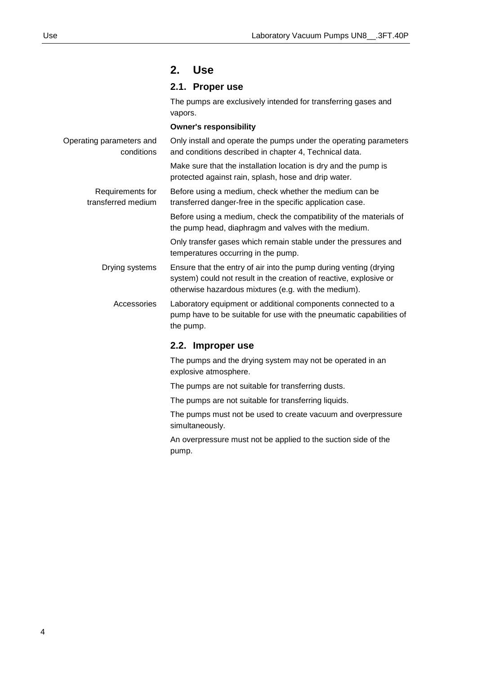## <span id="page-3-0"></span>**2. Use**

#### **2.1. Proper use**

The pumps are exclusively intended for transferring gases and vapors.

#### **Owner's responsibility**

| Operating parameters and<br>conditions | Only install and operate the pumps under the operating parameters<br>and conditions described in chapter 4, Technical data.                                                                     |  |  |
|----------------------------------------|-------------------------------------------------------------------------------------------------------------------------------------------------------------------------------------------------|--|--|
|                                        | Make sure that the installation location is dry and the pump is<br>protected against rain, splash, hose and drip water.                                                                         |  |  |
| Requirements for<br>transferred medium | Before using a medium, check whether the medium can be<br>transferred danger-free in the specific application case.                                                                             |  |  |
|                                        | Before using a medium, check the compatibility of the materials of<br>the pump head, diaphragm and valves with the medium.                                                                      |  |  |
|                                        | Only transfer gases which remain stable under the pressures and<br>temperatures occurring in the pump.                                                                                          |  |  |
| Drying systems                         | Ensure that the entry of air into the pump during venting (drying<br>system) could not result in the creation of reactive, explosive or<br>otherwise hazardous mixtures (e.g. with the medium). |  |  |
| Accessories                            | Laboratory equipment or additional components connected to a<br>pump have to be suitable for use with the pneumatic capabilities of<br>the pump.                                                |  |  |
|                                        | 2.2. Improper use                                                                                                                                                                               |  |  |
|                                        | The pumps and the drying system may not be operated in an<br>explosive atmosphere.                                                                                                              |  |  |
|                                        | The pumps are not suitable for transferring dusts.                                                                                                                                              |  |  |

The pumps are not suitable for transferring liquids.

The pumps must not be used to create vacuum and overpressure simultaneously.

An overpressure must not be applied to the suction side of the pump.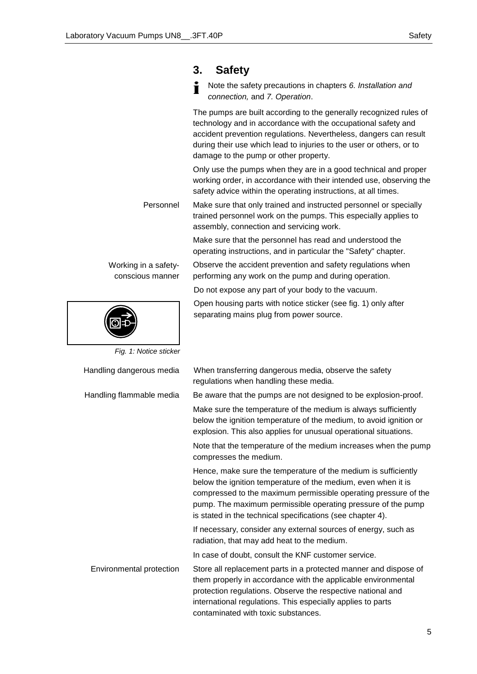#### <span id="page-4-0"></span>**3. Safety**

Note the safety precautions in chapters *6. Installation and*  Ť *connection,* and *7. Operation*.

The pumps are built according to the generally recognized rules of technology and in accordance with the occupational safety and accident prevention regulations. Nevertheless, dangers can result during their use which lead to injuries to the user or others, or to damage to the pump or other property.

Only use the pumps when they are in a good technical and proper working order, in accordance with their intended use, observing the safety advice within the operating instructions, at all times.

Make sure that only trained and instructed personnel or specially trained personnel work on the pumps. This especially applies to assembly, connection and servicing work. Personnel

> Make sure that the personnel has read and understood the operating instructions, and in particular the "Safety" chapter.

Observe the accident prevention and safety regulations when performing any work on the pump and during operation.

Do not expose any part of your body to the vacuum.

Open housing parts with notice sticker (see fig. 1) only after separating mains plug from power source.



*Fig. 1: Notice sticker*

Working in a safetyconscious manner

| Handling dangerous media | When transferring dangerous media, observe the safety<br>regulations when handling these media.                                                                                                                                                                                                                                  |
|--------------------------|----------------------------------------------------------------------------------------------------------------------------------------------------------------------------------------------------------------------------------------------------------------------------------------------------------------------------------|
| Handling flammable media | Be aware that the pumps are not designed to be explosion-proof.                                                                                                                                                                                                                                                                  |
|                          | Make sure the temperature of the medium is always sufficiently<br>below the ignition temperature of the medium, to avoid ignition or<br>explosion. This also applies for unusual operational situations.                                                                                                                         |
|                          | Note that the temperature of the medium increases when the pump<br>compresses the medium.                                                                                                                                                                                                                                        |
|                          | Hence, make sure the temperature of the medium is sufficiently<br>below the ignition temperature of the medium, even when it is<br>compressed to the maximum permissible operating pressure of the<br>pump. The maximum permissible operating pressure of the pump<br>is stated in the technical specifications (see chapter 4). |
|                          | If necessary, consider any external sources of energy, such as<br>radiation, that may add heat to the medium.                                                                                                                                                                                                                    |
|                          | In case of doubt, consult the KNF customer service.                                                                                                                                                                                                                                                                              |
| Environmental protection | Store all replacement parts in a protected manner and dispose of<br>them properly in accordance with the applicable environmental<br>protection regulations. Observe the respective national and<br>international regulations. This especially applies to parts<br>contaminated with toxic substances.                           |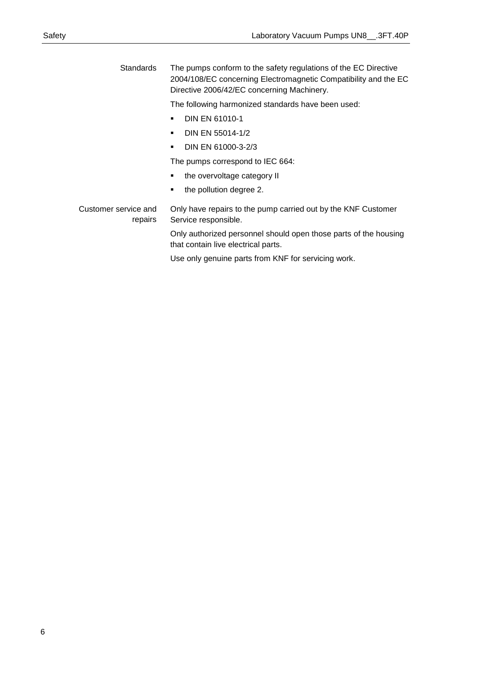The pumps conform to the safety regulations of the EC Directive 2004/108/EC concerning Electromagnetic Compatibility and the EC Directive 2006/42/EC concerning Machinery. **Standards** 

The following harmonized standards have been used:

- **DIN EN 61010-1**
- DIN EN 55014-1/2
- **DIN EN 61000-3-2/3**

The pumps correspond to IEC 664:

- the overvoltage category II
- the pollution degree 2.

Only have repairs to the pump carried out by the KNF Customer Service responsible. Customer service and repairs

> Only authorized personnel should open those parts of the housing that contain live electrical parts.

Use only genuine parts from KNF for servicing work.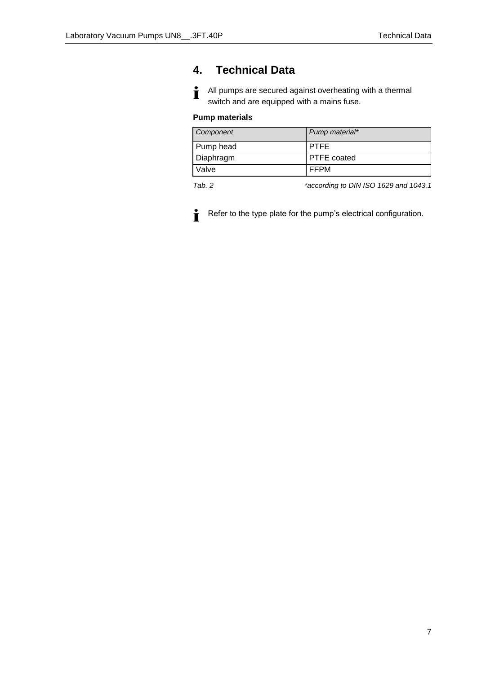## <span id="page-6-0"></span>**4. Technical Data**

i All pumps are secured against overheating with a thermal switch and are equipped with a mains fuse.

#### **Pump materials**

| Component | Pump material*     |
|-----------|--------------------|
| Pump head | <b>PTFE</b>        |
| Diaphragm | <b>PTFE</b> coated |
| Valve     | <b>FFPM</b>        |

*Tab. 2 \*according to DIN ISO 1629 and 1043.1*

Refer to the type plate for the pump's electrical configuration.i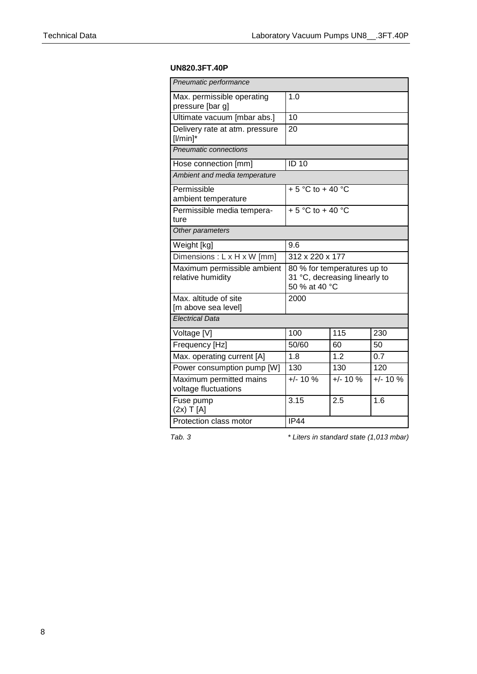#### **UN820.3FT.40P**

| Pneumatic performance                                                       |                                                                               |                  |             |  |
|-----------------------------------------------------------------------------|-------------------------------------------------------------------------------|------------------|-------------|--|
| Max. permissible operating<br>pressure [bar g]                              | 1.0                                                                           |                  |             |  |
| Ultimate vacuum [mbar abs.]                                                 | 10                                                                            |                  |             |  |
| Delivery rate at atm. pressure<br>$[1/min]$ *                               | 20                                                                            |                  |             |  |
| <b>Pneumatic connections</b>                                                |                                                                               |                  |             |  |
| Hose connection [mm]                                                        | <b>ID 10</b>                                                                  |                  |             |  |
| Ambient and media temperature                                               |                                                                               |                  |             |  |
| Permissible<br>ambient temperature                                          | + 5 °C to + 40 °C                                                             |                  |             |  |
| + 5 $^{\circ}$ C to + 40 $^{\circ}$ C<br>Permissible media tempera-<br>ture |                                                                               |                  |             |  |
| Other parameters                                                            |                                                                               |                  |             |  |
| Weight [kg]                                                                 | 9.6                                                                           |                  |             |  |
| Dimensions : L x H x W [mm]                                                 | 312 x 220 x 177                                                               |                  |             |  |
| Maximum permissible ambient<br>relative humidity                            | 80 % for temperatures up to<br>31 °C, decreasing linearly to<br>50 % at 40 °C |                  |             |  |
| Max. altitude of site<br>[m above sea level]                                | 2000                                                                          |                  |             |  |
| <b>Electrical Data</b>                                                      |                                                                               |                  |             |  |
| Voltage [V]                                                                 | 100                                                                           | 115              | 230         |  |
| Frequency [Hz]                                                              | 50/60                                                                         | 60               | 50          |  |
| Max. operating current [A]                                                  | 1.8                                                                           | $\overline{1.2}$ | 0.7         |  |
| Power consumption pump [W]                                                  | 130                                                                           | 130              | 120         |  |
| Maximum permitted mains<br>voltage fluctuations                             | $+/- 10 \%$                                                                   | $+/- 10 %$       | $+/- 10 \%$ |  |
| Fuse pump<br>$(2x)$ T [A]                                                   | 3.15                                                                          | 2.5              | 1.6         |  |
| Protection class motor<br><b>IP44</b>                                       |                                                                               |                  |             |  |

*Tab. 3 \* Liters in standard state (1,013 mbar)*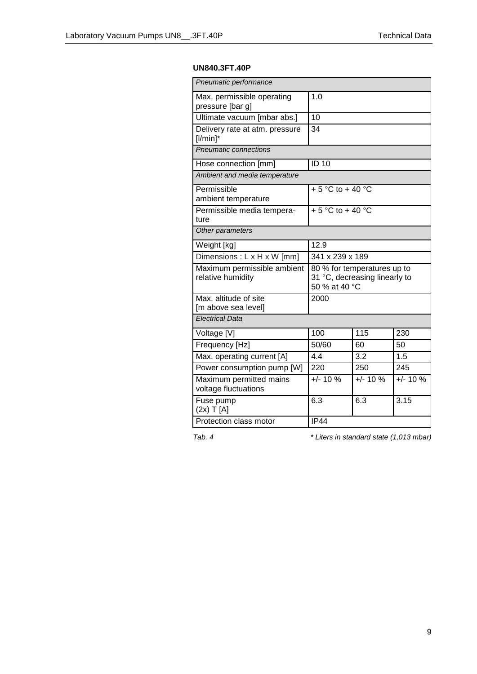#### **UN840.3FT.40P**

| Pneumatic performance                                                                                                             |                     |             |             |  |
|-----------------------------------------------------------------------------------------------------------------------------------|---------------------|-------------|-------------|--|
| Max. permissible operating<br>pressure [bar g]                                                                                    | 1.0                 |             |             |  |
| Ultimate vacuum [mbar abs.]                                                                                                       | 10                  |             |             |  |
| Delivery rate at atm. pressure<br>$[1/min]$ *                                                                                     | 34                  |             |             |  |
| <b>Pneumatic connections</b>                                                                                                      |                     |             |             |  |
| Hose connection [mm]                                                                                                              | <b>ID 10</b>        |             |             |  |
| Ambient and media temperature                                                                                                     |                     |             |             |  |
| Permissible<br>ambient temperature                                                                                                | $+5$ °C to $+40$ °C |             |             |  |
| + 5 $^{\circ}$ C to + 40 $^{\circ}$ C<br>Permissible media tempera-<br>ture                                                       |                     |             |             |  |
| Other parameters                                                                                                                  |                     |             |             |  |
| Weight [kg]                                                                                                                       | 12.9                |             |             |  |
| Dimensions : L x H x W [mm]<br>341 x 239 x 189                                                                                    |                     |             |             |  |
| Maximum permissible ambient<br>80 % for temperatures up to<br>relative humidity<br>31 °C, decreasing linearly to<br>50 % at 40 °C |                     |             |             |  |
| Max. altitude of site<br>2000<br>[m above sea level]                                                                              |                     |             |             |  |
| <b>Flectrical Data</b>                                                                                                            |                     |             |             |  |
| Voltage [V]                                                                                                                       | 100                 | 115         | 230         |  |
| Frequency [Hz]                                                                                                                    | 50/60               | 60          | 50          |  |
| Max. operating current [A]                                                                                                        | 4.4                 | 3.2         | 1.5         |  |
| Power consumption pump [W]                                                                                                        | 220                 | 250         | 245         |  |
| Maximum permitted mains<br>voltage fluctuations                                                                                   | $+/- 10 \%$         | $+/- 10 \%$ | $+/- 10 \%$ |  |
| Fuse pump<br>$(2x)$ T [A]                                                                                                         | 6.3                 | 6.3         | 3.15        |  |
| Protection class motor<br>IP44                                                                                                    |                     |             |             |  |

*Tab. 4 \* Liters in standard state (1,013 mbar)*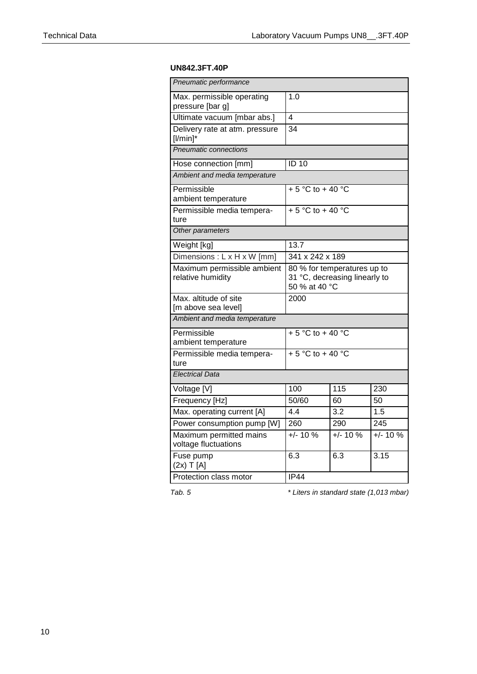#### **UN842.3FT.40P**

| Pneumatic performance                                                                                                             |                      |             |             |
|-----------------------------------------------------------------------------------------------------------------------------------|----------------------|-------------|-------------|
| Max. permissible operating<br>pressure [bar g]                                                                                    | 1.0                  |             |             |
| Ultimate vacuum [mbar abs.]                                                                                                       | 4                    |             |             |
| Delivery rate at atm. pressure<br>$[$ l/min $]$ *                                                                                 | 34                   |             |             |
| Pneumatic connections                                                                                                             |                      |             |             |
| Hose connection [mm]                                                                                                              | <b>ID 10</b>         |             |             |
| Ambient and media temperature                                                                                                     |                      |             |             |
| Permissible<br>ambient temperature                                                                                                | + 5 °C to + 40 °C    |             |             |
| Permissible media tempera-<br>ture                                                                                                | $+5 °C$ to $+ 40 °C$ |             |             |
| Other parameters                                                                                                                  |                      |             |             |
| Weight [kg]                                                                                                                       | 13.7                 |             |             |
| Dimensions : L x H x W [mm]                                                                                                       | 341 x 242 x 189      |             |             |
| Maximum permissible ambient<br>80 % for temperatures up to<br>31 °C, decreasing linearly to<br>relative humidity<br>50 % at 40 °C |                      |             |             |
| Max. altitude of site<br>[m above sea level]                                                                                      | 2000                 |             |             |
| Ambient and media temperature                                                                                                     |                      |             |             |
| Permissible<br>ambient temperature                                                                                                | $+5$ °C to + 40 °C   |             |             |
| Permissible media tempera-<br>ture                                                                                                | $+5 °C$ to $+ 40 °C$ |             |             |
| <b>Electrical Data</b>                                                                                                            |                      |             |             |
| Voltage [V]                                                                                                                       | 100                  | 115         | 230         |
| Frequency [Hz]                                                                                                                    | 50/60                | 60          | 50          |
| Max. operating current [A]                                                                                                        | 4.4                  | 3.2         | 1.5         |
| Power consumption pump [W]                                                                                                        | 260                  | 290         | 245         |
| Maximum permitted mains<br>voltage fluctuations                                                                                   | $+/- 10 \%$          | $+/- 10 \%$ | $+/- 10 \%$ |
| Fuse pump<br>$(2x)$ T [A]                                                                                                         | 6.3                  | 6.3         | 3.15        |
| Protection class motor                                                                                                            | <b>IP44</b>          |             |             |

*Tab. 5 \* Liters in standard state (1,013 mbar)*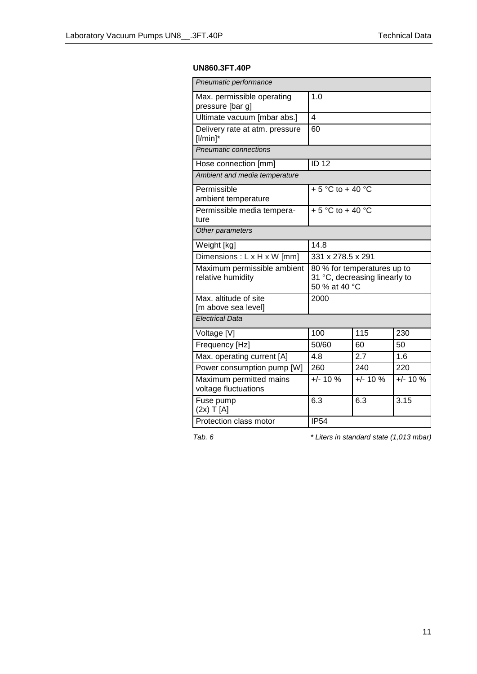#### **UN860.3FT.40P**

| Pneumatic performance                                                                                                             |                         |             |             |
|-----------------------------------------------------------------------------------------------------------------------------------|-------------------------|-------------|-------------|
| Max. permissible operating<br>pressure [bar g]                                                                                    | 1.0                     |             |             |
| Ultimate vacuum [mbar abs.]                                                                                                       | $\overline{\mathbf{4}}$ |             |             |
| Delivery rate at atm. pressure<br>$[1/min]$ *                                                                                     | 60                      |             |             |
| <b>Pneumatic connections</b>                                                                                                      |                         |             |             |
| Hose connection [mm]                                                                                                              | <b>ID12</b>             |             |             |
| Ambient and media temperature                                                                                                     |                         |             |             |
| Permissible<br>ambient temperature                                                                                                | $+5$ °C to $+40$ °C     |             |             |
| + 5 $^{\circ}$ C to + 40 $^{\circ}$ C<br>Permissible media tempera-<br>ture                                                       |                         |             |             |
| Other parameters                                                                                                                  |                         |             |             |
| Weight [kg]                                                                                                                       | 14.8                    |             |             |
| Dimensions : L x H x W [mm]<br>331 x 278.5 x 291                                                                                  |                         |             |             |
| Maximum permissible ambient<br>80 % for temperatures up to<br>relative humidity<br>31 °C, decreasing linearly to<br>50 % at 40 °C |                         |             |             |
| Max. altitude of site<br>[m above sea level]                                                                                      | 2000                    |             |             |
| <b>Flectrical Data</b>                                                                                                            |                         |             |             |
| Voltage [V]                                                                                                                       | 100                     | 115         | 230         |
| Frequency [Hz]                                                                                                                    | 50/60                   | 60          | 50          |
| Max. operating current [A]                                                                                                        | 4.8                     | 2.7         | 1.6         |
| Power consumption pump [W]                                                                                                        | 260                     | 240         | 220         |
| Maximum permitted mains<br>voltage fluctuations                                                                                   | $+/- 10 \%$             | $+/- 10 \%$ | $+/- 10 \%$ |
| Fuse pump<br>$(2x)$ T [A]                                                                                                         | 6.3                     | 6.3         | 3.15        |
| Protection class motor                                                                                                            | <b>IP54</b>             |             |             |

*Tab. 6 \* Liters in standard state (1,013 mbar)*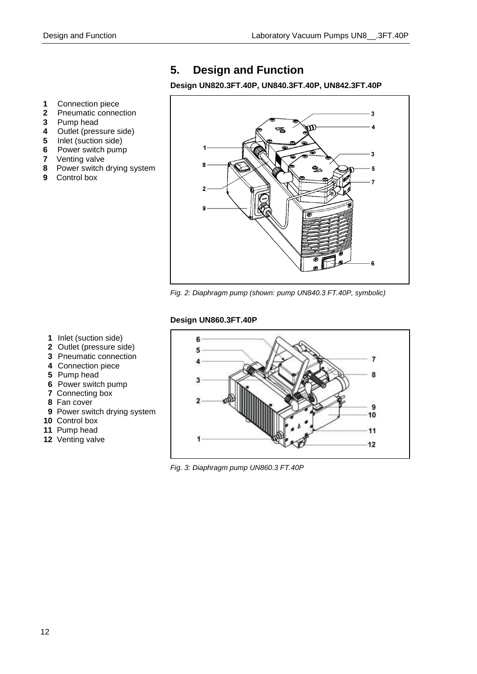## <span id="page-11-0"></span>**5. Design and Function**

#### **Design UN820.3FT.40P, UN840.3FT.40P, UN842.3FT.40P**

- Connection piece
- **2** Pneumatic connection<br>**3** Pump head
- Pump head
- Outlet (pressure side)
- Inlet (suction side)
- Power switch pump
- Venting valve
- Power switch drying system
- Control box



*Fig. 2: Diaphragm pump (shown: pump UN840.3 FT.40P, symbolic)*

#### **Design UN860.3FT.40P**

- Inlet (suction side)
- Outlet (pressure side)
- Pneumatic connection
- Connection piece
- Pump head
- Power switch pump
- Connecting box
- Fan cover
- Power switch drying system
- Control box
- Pump head
- Venting valve



<span id="page-11-1"></span>*Fig. 3: Diaphragm pump UN860.3 FT.40P*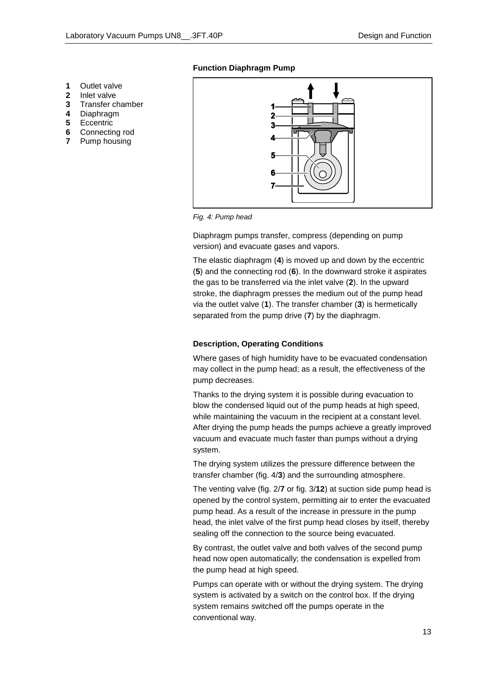#### **Function Diaphragm Pump**

- **1** Outlet valve
- **2** Inlet valve
- **3** Transfer chamber
- **4** Diaphragm
- **5** Eccentric
- **6** Connecting rod
- **7** Pump housing



*Fig. 4: Pump head*

Diaphragm pumps transfer, compress (depending on pump version) and evacuate gases and vapors.

The elastic diaphragm (**4**) is moved up and down by the eccentric (**5**) and the connecting rod (**6**). In the downward stroke it aspirates the gas to be transferred via the inlet valve (**2**). In the upward stroke, the diaphragm presses the medium out of the pump head via the outlet valve (**1**). The transfer chamber (**3**) is hermetically separated from the pump drive (**7**) by the diaphragm.

#### **Description, Operating Conditions**

Where gases of high humidity have to be evacuated condensation may collect in the pump head; as a result, the effectiveness of the pump decreases.

Thanks to the drying system it is possible during evacuation to blow the condensed liquid out of the pump heads at high speed, while maintaining the vacuum in the recipient at a constant level. After drying the pump heads the pumps achieve a greatly improved vacuum and evacuate much faster than pumps without a drying system.

The drying system utilizes the pressure difference between the transfer chamber (fig. 4/**3**) and the surrounding atmosphere.

The venting valve (fig. 2/**7** or fig. 3/**12**) at suction side pump head is opened by the control system, permitting air to enter the evacuated pump head. As a result of the increase in pressure in the pump head, the inlet valve of the first pump head closes by itself, thereby sealing off the connection to the source being evacuated.

By contrast, the outlet valve and both valves of the second pump head now open automatically; the condensation is expelled from the pump head at high speed.

Pumps can operate with or without the drying system. The drying system is activated by a switch on the control box. If the drying system remains switched off the pumps operate in the conventional way.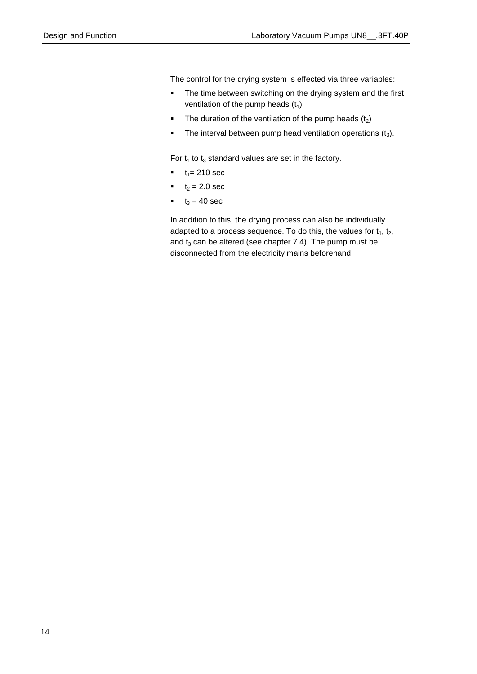The control for the drying system is effected via three variables:

- The time between switching on the drying system and the first ventilation of the pump heads  $(t_1)$
- The duration of the ventilation of the pump heads  $(t_2)$
- **The interval between pump head ventilation operations**  $(t_3)$ **.**

For  $t_1$  to  $t_3$  standard values are set in the factory.

- $t_1 = 210$  sec
- $t_2 = 2.0$  sec
- $t_3 = 40$  sec

In addition to this, the drying process can also be individually adapted to a process sequence. To do this, the values for  $t_1$ ,  $t_2$ , and  $t_3$  can be altered (see chapter 7.4). The pump must be disconnected from the electricity mains beforehand.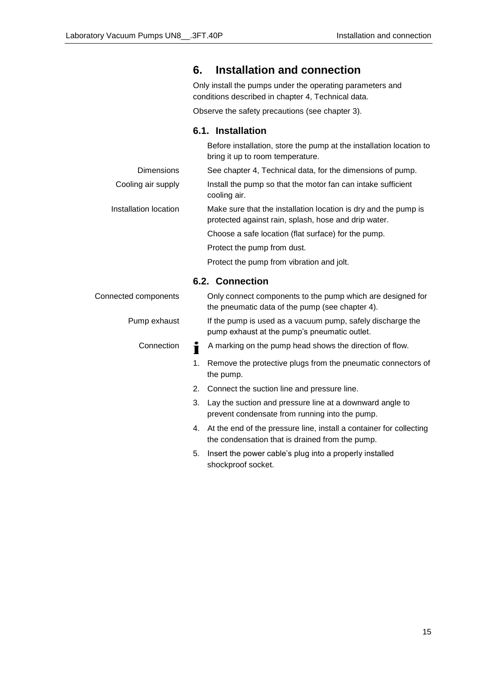## <span id="page-14-0"></span>**6. Installation and connection**

Only install the pumps under the operating parameters and conditions described in chapter 4, Technical data.

Observe the safety precautions (see chapter 3).

#### **6.1. Installation**

|                       |    | Before installation, store the pump at the installation location to<br>bring it up to room temperature.                 |
|-----------------------|----|-------------------------------------------------------------------------------------------------------------------------|
| Dimensions            |    | See chapter 4, Technical data, for the dimensions of pump.                                                              |
| Cooling air supply    |    | Install the pump so that the motor fan can intake sufficient<br>cooling air.                                            |
| Installation location |    | Make sure that the installation location is dry and the pump is<br>protected against rain, splash, hose and drip water. |
|                       |    | Choose a safe location (flat surface) for the pump.                                                                     |
|                       |    | Protect the pump from dust.                                                                                             |
|                       |    | Protect the pump from vibration and jolt.                                                                               |
|                       |    | 6.2. Connection                                                                                                         |
| Connected components  |    | Only connect components to the pump which are designed for<br>the pneumatic data of the pump (see chapter 4).           |
| Pump exhaust          |    | If the pump is used as a vacuum pump, safely discharge the<br>pump exhaust at the pump's pneumatic outlet.              |
| Connection            | i  | A marking on the pump head shows the direction of flow.                                                                 |
|                       | 1. | Remove the protective plugs from the pneumatic connectors of<br>the pump.                                               |
|                       | 2. | Connect the suction line and pressure line.                                                                             |
|                       | 3. | Lay the suction and pressure line at a downward angle to<br>prevent condensate from running into the pump.              |
|                       | 4. | At the end of the pressure line, install a container for collecting<br>the condensation that is drained from the pump.  |
|                       | 5. | Insert the power cable's plug into a properly installed<br>shockproof socket.                                           |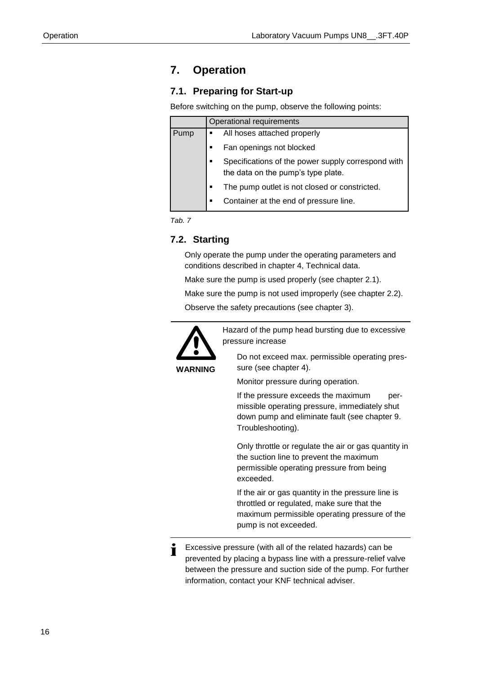## <span id="page-15-0"></span>**7. Operation**

#### **7.1. Preparing for Start-up**

Before switching on the pump, observe the following points:

|      | Operational requirements                                                                 |  |  |  |
|------|------------------------------------------------------------------------------------------|--|--|--|
| Pump | All hoses attached properly                                                              |  |  |  |
|      | Fan openings not blocked                                                                 |  |  |  |
|      | Specifications of the power supply correspond with<br>the data on the pump's type plate. |  |  |  |
|      | The pump outlet is not closed or constricted.                                            |  |  |  |
|      | Container at the end of pressure line.                                                   |  |  |  |

*Tab. 7*

#### **7.2. Starting**

Only operate the pump under the operating parameters and conditions described in chapter 4, Technical data.

Make sure the pump is used properly (see chapter 2.1).

Make sure the pump is not used improperly (see chapter 2.2).

Observe the safety precautions (see chapter 3).



Hazard of the pump head bursting due to excessive pressure increase

Do not exceed max. permissible operating pressure (see chapter 4).

Monitor pressure during operation.

If the pressure exceeds the maximum permissible operating pressure, immediately shut down pump and eliminate fault (see chapter 9. Troubleshooting).

Only throttle or regulate the air or gas quantity in the suction line to prevent the maximum permissible operating pressure from being exceeded.

If the air or gas quantity in the pressure line is throttled or regulated, make sure that the maximum permissible operating pressure of the pump is not exceeded.

Excessive pressure (with all of the related hazards) can be Ť prevented by placing a bypass line with a pressure-relief valve between the pressure and suction side of the pump. For further information, contact your KNF technical adviser.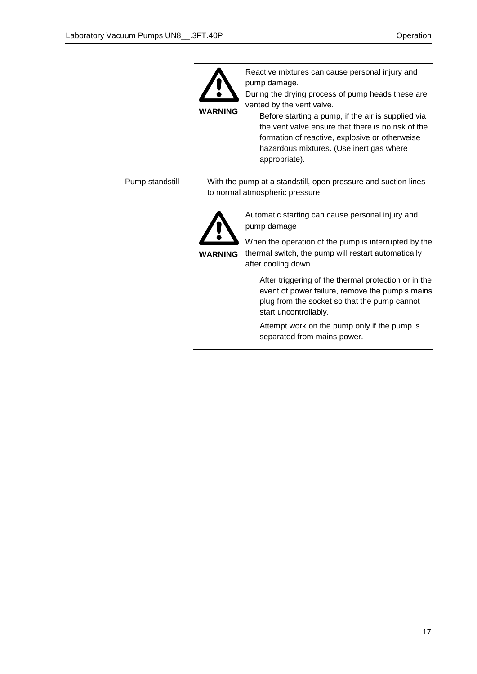|                 | WARNING                                                                                           | Reactive mixtures can cause personal injury and<br>pump damage.<br>During the drying process of pump heads these are<br>vented by the vent valve.<br>Before starting a pump, if the air is supplied via<br>the vent valve ensure that there is no risk of the<br>formation of reactive, explosive or otherweise<br>hazardous mixtures. (Use inert gas where<br>appropriate). |  |  |
|-----------------|---------------------------------------------------------------------------------------------------|------------------------------------------------------------------------------------------------------------------------------------------------------------------------------------------------------------------------------------------------------------------------------------------------------------------------------------------------------------------------------|--|--|
| Pump standstill | With the pump at a standstill, open pressure and suction lines<br>to normal atmospheric pressure. |                                                                                                                                                                                                                                                                                                                                                                              |  |  |
|                 |                                                                                                   | Automatic starting can cause personal injury and<br>pump damage                                                                                                                                                                                                                                                                                                              |  |  |
|                 | <b>WARNING</b>                                                                                    | When the operation of the pump is interrupted by the<br>thermal switch, the pump will restart automatically<br>after cooling down.                                                                                                                                                                                                                                           |  |  |
|                 |                                                                                                   | After triggering of the thermal protection or in the<br>event of power failure, remove the pump's mains<br>plug from the socket so that the pump cannot<br>start uncontrollably.                                                                                                                                                                                             |  |  |
|                 |                                                                                                   | Attempt work on the pump only if the pump is<br>separated from mains power.                                                                                                                                                                                                                                                                                                  |  |  |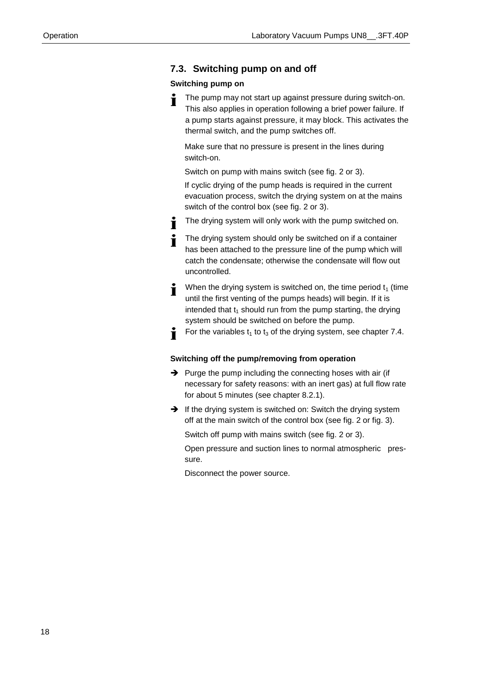#### **7.3. Switching pump on and off**

#### **Switching pump on**

i

The pump may not start up against pressure during switch-on. Ť This also applies in operation following a brief power failure. If a pump starts against pressure, it may block. This activates the thermal switch, and the pump switches off.

Make sure that no pressure is present in the lines during switch-on.

Switch on pump with mains switch (see fig. 2 or 3).

If cyclic drying of the pump heads is required in the current evacuation process, switch the drying system on at the mains switch of the control box (see fig. 2 or 3).

The drying system will only work with the pump switched on. Ť

The drying system should only be switched on if a container has been attached to the pressure line of the pump which will catch the condensate; otherwise the condensate will flow out uncontrolled.

When the drying system is switched on, the time period  $t_1$  (time Ť until the first venting of the pumps heads) will begin. If it is intended that  $t_1$  should run from the pump starting, the drying system should be switched on before the pump.

For the variables  $t_1$  to  $t_3$  of the drying system, see chapter 7.4. Ť

#### **Switching off the pump/removing from operation**

- $\rightarrow$  Purge the pump including the connecting hoses with air (if necessary for safety reasons: with an inert gas) at full flow rate for about 5 minutes (see chapter 8.2.1).
- $\rightarrow$  If the drying system is switched on: Switch the drying system off at the main switch of the control box (see fig. 2 or fig. 3).

Switch off pump with mains switch (see fig. 2 or 3).

Open pressure and suction lines to normal atmospheric pressure.

Disconnect the power source.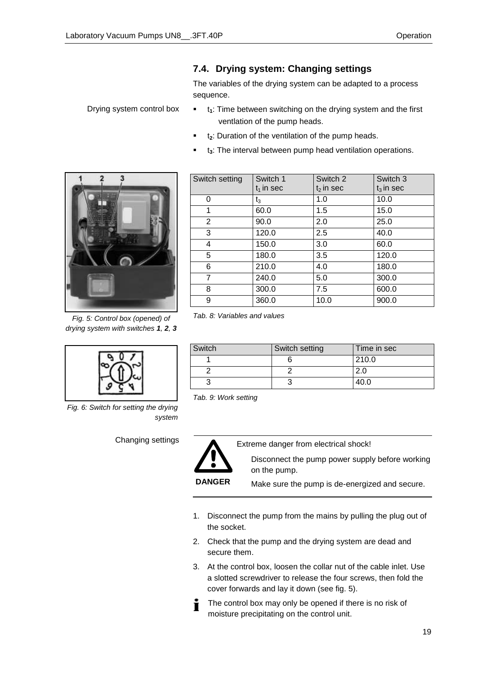#### **7.4. Drying system: Changing settings**

The variables of the drying system can be adapted to a process sequence.

Drying system control box

- **t**<sub>1</sub>: Time between switching on the drying system and the first ventlation of the pump heads.
- **t**<sub>2</sub>: Duration of the ventilation of the pump heads.
- t**3**: The interval between pump head ventilation operations.



*Fig. 5: Control box (opened) of drying system with switches 1, 2, 3*



*Fig. 6: Switch for setting the drying system*

Changing settings

| Switch setting | Switch 1<br>$t_1$ in sec | Switch 2<br>$t_2$ in sec | Switch 3<br>$t_3$ in sec |
|----------------|--------------------------|--------------------------|--------------------------|
| 0              | $t_3$                    | 1.0                      | 10.0                     |
| 1              | 60.0                     | 1.5                      | 15.0                     |
| 2              | 90.0                     | 2.0                      | 25.0                     |
| 3              | 120.0                    | 2.5                      | 40.0                     |
| 4              | 150.0                    | 3.0                      | 60.0                     |
| 5              | 180.0                    | 3.5                      | 120.0                    |
| 6              | 210.0                    | 4.0                      | 180.0                    |
| 7              | 240.0                    | 5.0                      | 300.0                    |
| 8              | 300.0                    | 7.5                      | 600.0                    |
| 9              | 360.0                    | 10.0                     | 900.0                    |

*Tab. 8: Variables and values*

| Switch | Switch setting | Time in sec |
|--------|----------------|-------------|
|        |                | 210.0       |
|        |                | 2.C         |
|        |                |             |

*Tab. 9: Work setting*



Extreme danger from electrical shock!

Disconnect the pump power supply before working on the pump.

**DANGER**

Make sure the pump is de-energized and secure.

- 1. Disconnect the pump from the mains by pulling the plug out of the socket.
- 2. Check that the pump and the drying system are dead and secure them.
- 3. At the control box, loosen the collar nut of the cable inlet. Use a slotted screwdriver to release the four screws, then fold the cover forwards and lay it down (see fig. 5).
- The control box may only be opened if there is no risk of Ť moisture precipitating on the control unit.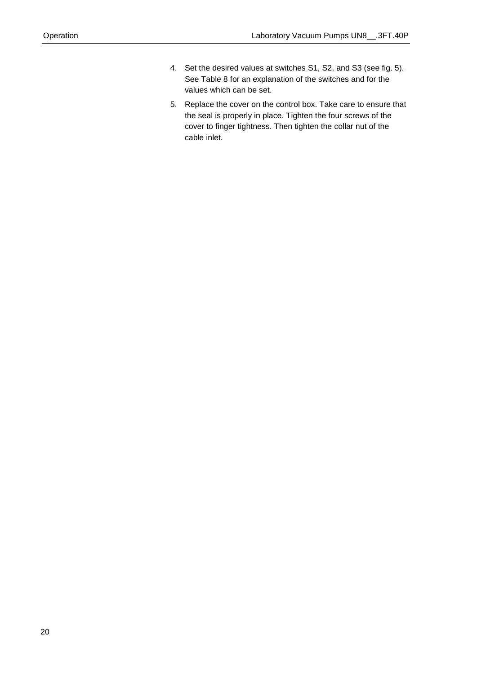- 4. Set the desired values at switches S1, S2, and S3 (see fig. 5). See Table 8 for an explanation of the switches and for the values which can be set.
- 5. Replace the cover on the control box. Take care to ensure that the seal is properly in place. Tighten the four screws of the cover to finger tightness. Then tighten the collar nut of the cable inlet.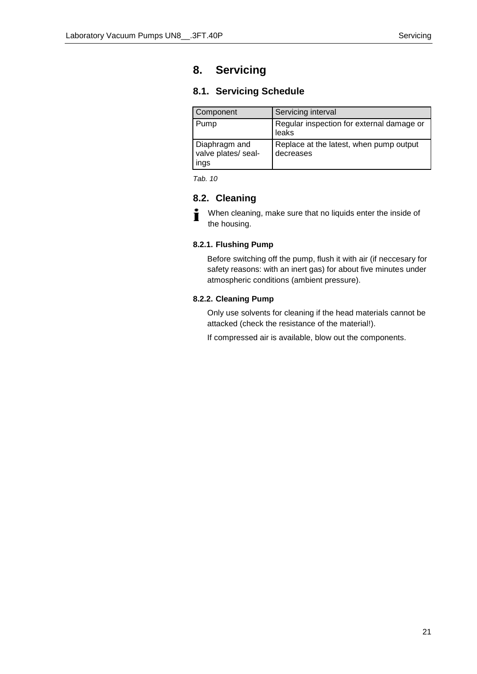## <span id="page-20-0"></span>**8. Servicing**

#### **8.1. Servicing Schedule**

| Component                                    | Servicing interval                                   |
|----------------------------------------------|------------------------------------------------------|
| Pump                                         | Regular inspection for external damage or<br>leaks   |
| Diaphragm and<br>valve plates/ seal-<br>ings | Replace at the latest, when pump output<br>decreases |

*Tab. 10*

#### **8.2. Cleaning**

İ When cleaning, make sure that no liquids enter the inside of the housing.

#### **8.2.1. Flushing Pump**

Before switching off the pump, flush it with air (if neccesary for safety reasons: with an inert gas) for about five minutes under atmospheric conditions (ambient pressure).

#### **8.2.2. Cleaning Pump**

Only use solvents for cleaning if the head materials cannot be attacked (check the resistance of the material!).

If compressed air is available, blow out the components.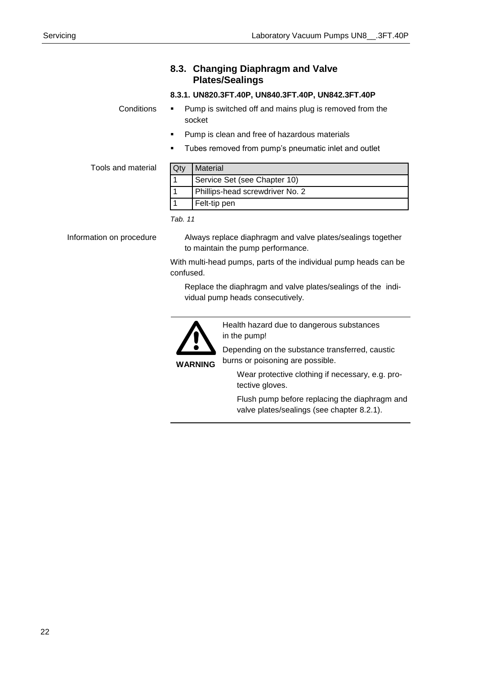| 8.3. Changing Diaphragm and Valve |  |
|-----------------------------------|--|
| <b>Plates/Sealings</b>            |  |

#### **8.3.1. UN820.3FT.40P, UN840.3FT.40P, UN842.3FT.40P**

**Pump is switched off and mains plug is removed from the** socket **Conditions** 

- **Pump is clean and free of hazardous materials**
- Tubes removed from pump's pneumatic inlet and outlet

Tools and material

| Qtv | <b>Material</b>                 |
|-----|---------------------------------|
|     | Service Set (see Chapter 10)    |
|     | Phillips-head screwdriver No. 2 |
|     | Felt-tip pen                    |

*Tab. 11*

Information on procedure

Always replace diaphragm and valve plates/sealings together to maintain the pump performance.

With multi-head pumps, parts of the individual pump heads can be confused.

Replace the diaphragm and valve plates/sealings of the individual pump heads consecutively.



Health hazard due to dangerous substances in the pump!

Depending on the substance transferred, caustic burns or poisoning are possible.

**WARNING**

Wear protective clothing if necessary, e.g. protective gloves.

Flush pump before replacing the diaphragm and valve plates/sealings (see chapter 8.2.1).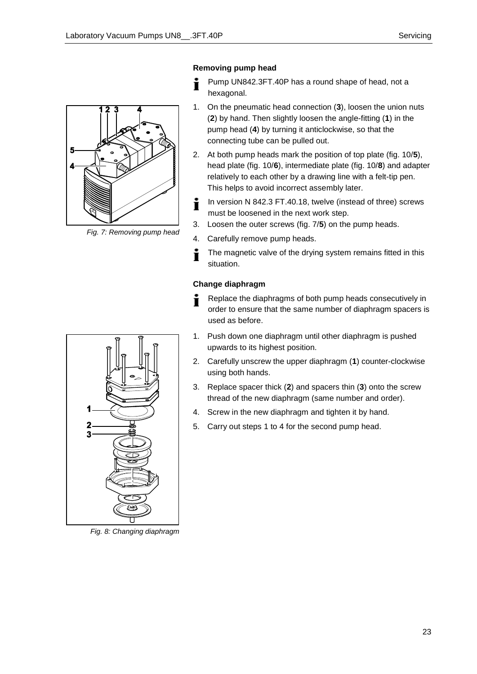

*Fig. 7: Removing pump head*

#### **Removing pump head**

- Pump UN842.3FT.40P has a round shape of head, not a İ hexagonal.
- 1. On the pneumatic head connection (**3**), loosen the union nuts (**2**) by hand. Then slightly loosen the angle-fitting (**1**) in the pump head (**4**) by turning it anticlockwise, so that the connecting tube can be pulled out.
- 2. At both pump heads mark the position of top plate (fig. 10/**5**), head plate (fig. 10/**6**), intermediate plate (fig. 10/**8**) and adapter relatively to each other by a drawing line with a felt-tip pen. This helps to avoid incorrect assembly later.
- In version N 842.3 FT.40.18, twelve (instead of three) screws İ must be loosened in the next work step.
- 3. Loosen the outer screws (fig. 7/**5**) on the pump heads.
- 4. Carefully remove pump heads.
- i The magnetic valve of the drying system remains fitted in this situation.

#### **Change diaphragm**

- Replace the diaphragms of both pump heads consecutively in Ť order to ensure that the same number of diaphragm spacers is used as before.
- 1. Push down one diaphragm until other diaphragm is pushed upwards to its highest position.
- 2. Carefully unscrew the upper diaphragm (**1**) counter-clockwise using both hands.
- 3. Replace spacer thick (**2**) and spacers thin (**3**) onto the screw thread of the new diaphragm (same number and order).
- 4. Screw in the new diaphragm and tighten it by hand.
- 5. Carry out steps 1 to 4 for the second pump head.



*Fig. 8: Changing diaphragm*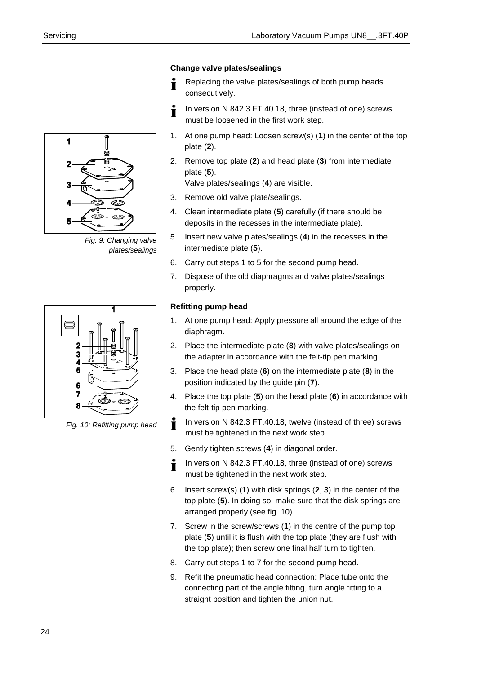

*Fig. 9: Changing valve plates/sealings*



*Fig. 10: Refitting pump head*

#### **Change valve plates/sealings**

- Replacing the valve plates/sealings of both pump heads consecutively.
- In version N 842.3 FT.40.18, three (instead of one) screws Ť must be loosened in the first work step.
- 1. At one pump head: Loosen screw(s) (**1**) in the center of the top plate (**2**).
- 2. Remove top plate (**2**) and head plate (**3**) from intermediate plate (**5**).

Valve plates/sealings (**4**) are visible.

- 3. Remove old valve plate/sealings.
- 4. Clean intermediate plate (**5**) carefully (if there should be deposits in the recesses in the intermediate plate).
- 5. Insert new valve plates/sealings (**4**) in the recesses in the intermediate plate (**5**).
- 6. Carry out steps 1 to 5 for the second pump head.
- 7. Dispose of the old diaphragms and valve plates/sealings properly.

#### **Refitting pump head**

- 1. At one pump head: Apply pressure all around the edge of the diaphragm.
- 2. Place the intermediate plate (**8**) with valve plates/sealings on the adapter in accordance with the felt-tip pen marking.
- 3. Place the head plate (**6**) on the intermediate plate (**8**) in the position indicated by the guide pin (**7**).
- 4. Place the top plate (**5**) on the head plate (**6**) in accordance with the felt-tip pen marking.
- In version N 842.3 FT.40.18, twelve (instead of three) screws Ť must be tightened in the next work step.
- 5. Gently tighten screws (**4**) in diagonal order.
- i In version N 842.3 FT.40.18, three (instead of one) screws must be tightened in the next work step.
- 6. Insert screw(s) (**1**) with disk springs (**2**, **3**) in the center of the top plate (**5**). In doing so, make sure that the disk springs are arranged properly (see fig. 10).
- 7. Screw in the screw/screws (**1**) in the centre of the pump top plate (**5**) until it is flush with the top plate (they are flush with the top plate); then screw one final half turn to tighten.
- 8. Carry out steps 1 to 7 for the second pump head.
- 9. Refit the pneumatic head connection: Place tube onto the connecting part of the angle fitting, turn angle fitting to a straight position and tighten the union nut.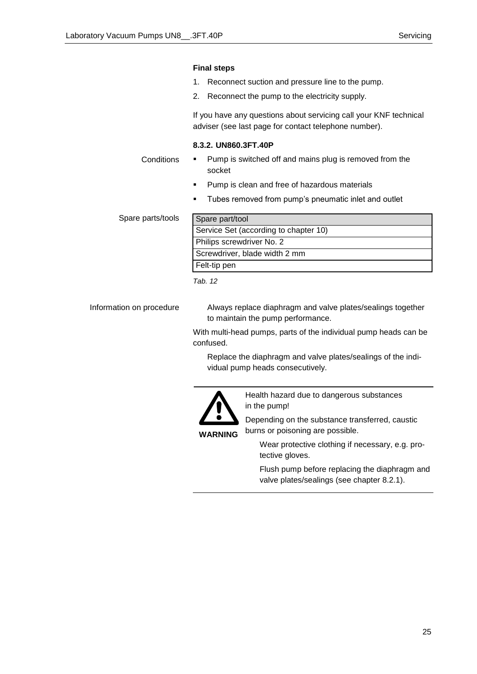#### **Final steps**

- 1. Reconnect suction and pressure line to the pump.
- 2. Reconnect the pump to the electricity supply.

If you have any questions about servicing call your KNF technical adviser (see last page for contact telephone number).

#### **8.3.2. UN860.3FT.40P**

- **Pump is switched off and mains plug is removed from the** socket **Conditions** 
	- **Pump is clean and free of hazardous materials**
	- Tubes removed from pump's pneumatic inlet and outlet

Spare parts/tool

| s | Spare part/tool                       |
|---|---------------------------------------|
|   | Service Set (according to chapter 10) |
|   | Philips screwdriver No. 2             |
|   | Screwdriver, blade width 2 mm         |
|   | Felt-tip pen                          |

*Tab. 12*

Information on procedure

Always replace diaphragm and valve plates/sealings together to maintain the pump performance.

With multi-head pumps, parts of the individual pump heads can be confused.

Replace the diaphragm and valve plates/sealings of the individual pump heads consecutively.



Health hazard due to dangerous substances in the pump!

**WARNING**

Depending on the substance transferred, caustic burns or poisoning are possible.

Wear protective clothing if necessary, e.g. protective gloves.

Flush pump before replacing the diaphragm and valve plates/sealings (see chapter 8.2.1).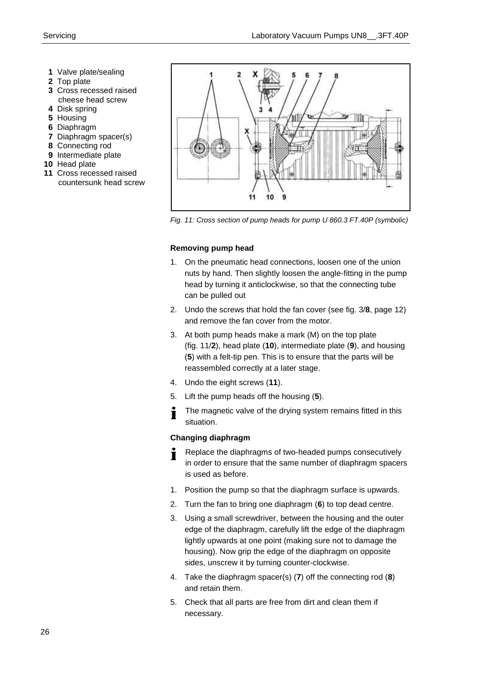- **1** Valve plate/sealing
- **2** Top plate
- **3** Cross recessed raised cheese head screw
- **4** Disk spring
- **5** Housing
- **6** Diaphragm
- **7** Diaphragm spacer(s)
- **8** Connecting rod
- **9** Intermediate plate
- **10** Head plate
- **11** Cross recessed raised countersunk head screw



*Fig. 11: Cross section of pump heads for pump U 860.3 FT.40P (symbolic)*

#### **Removing pump head**

- 1. On the pneumatic head connections, loosen one of the union nuts by hand. Then slightly loosen the angle-fitting in the pump head by turning it anticlockwise, so that the connecting tube can be pulled out
- 2. Undo the screws that hold the fan cover (see fig. 3/**8**, page [12\)](#page-11-1) and remove the fan cover from the motor.
- 3. At both pump heads make a mark (M) on the top plate (fig. 11/**2**), head plate (**10**), intermediate plate (**9**), and housing (**5**) with a felt-tip pen. This is to ensure that the parts will be reassembled correctly at a later stage.
- 4. Undo the eight screws (**11**).
- 5. Lift the pump heads off the housing (**5**).
- The magnetic valve of the drying system remains fitted in this Ť situation.

#### **Changing diaphragm**

- Replace the diaphragms of two-headed pumps consecutively Т in order to ensure that the same number of diaphragm spacers is used as before.
- 1. Position the pump so that the diaphragm surface is upwards.
- 2. Turn the fan to bring one diaphragm (**6**) to top dead centre.
- 3. Using a small screwdriver, between the housing and the outer edge of the diaphragm, carefully lift the edge of the diaphragm lightly upwards at one point (making sure not to damage the housing). Now grip the edge of the diaphragm on opposite sides, unscrew it by turning counter-clockwise.
- 4. Take the diaphragm spacer(s) (**7**) off the connecting rod (**8**) and retain them.
- 5. Check that all parts are free from dirt and clean them if necessary.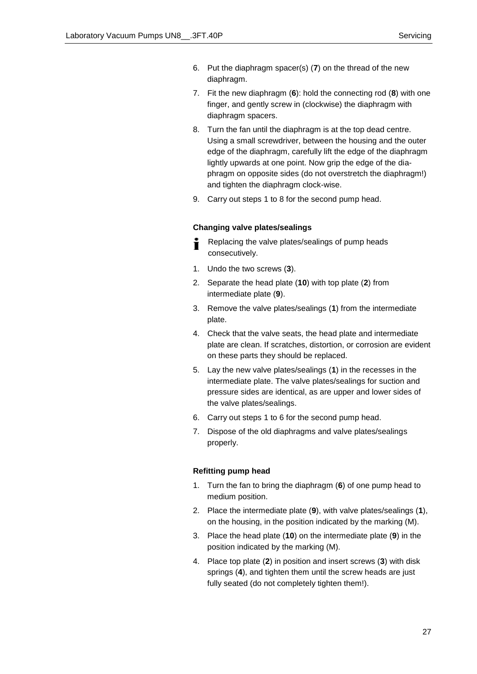- 6. Put the diaphragm spacer(s) (**7**) on the thread of the new diaphragm.
- 7. Fit the new diaphragm (**6**): hold the connecting rod (**8**) with one finger, and gently screw in (clockwise) the diaphragm with diaphragm spacers.
- 8. Turn the fan until the diaphragm is at the top dead centre. Using a small screwdriver, between the housing and the outer edge of the diaphragm, carefully lift the edge of the diaphragm lightly upwards at one point. Now grip the edge of the diaphragm on opposite sides (do not overstretch the diaphragm!) and tighten the diaphragm clock-wise.
- 9. Carry out steps 1 to 8 for the second pump head.

#### **Changing valve plates/sealings**

- Replacing the valve plates/sealings of pump heads consecutively.
- 1. Undo the two screws (**3**).
- 2. Separate the head plate (**10**) with top plate (**2**) from intermediate plate (**9**).
- 3. Remove the valve plates/sealings (**1**) from the intermediate plate.
- 4. Check that the valve seats, the head plate and intermediate plate are clean. If scratches, distortion, or corrosion are evident on these parts they should be replaced.
- 5. Lay the new valve plates/sealings (**1**) in the recesses in the intermediate plate. The valve plates/sealings for suction and pressure sides are identical, as are upper and lower sides of the valve plates/sealings.
- 6. Carry out steps 1 to 6 for the second pump head.
- 7. Dispose of the old diaphragms and valve plates/sealings properly.

#### **Refitting pump head**

- 1. Turn the fan to bring the diaphragm (**6**) of one pump head to medium position.
- 2. Place the intermediate plate (**9**), with valve plates/sealings (**1**), on the housing, in the position indicated by the marking (M).
- 3. Place the head plate (**10**) on the intermediate plate (**9**) in the position indicated by the marking (M).
- 4. Place top plate (**2**) in position and insert screws (**3**) with disk springs (**4**), and tighten them until the screw heads are just fully seated (do not completely tighten them!).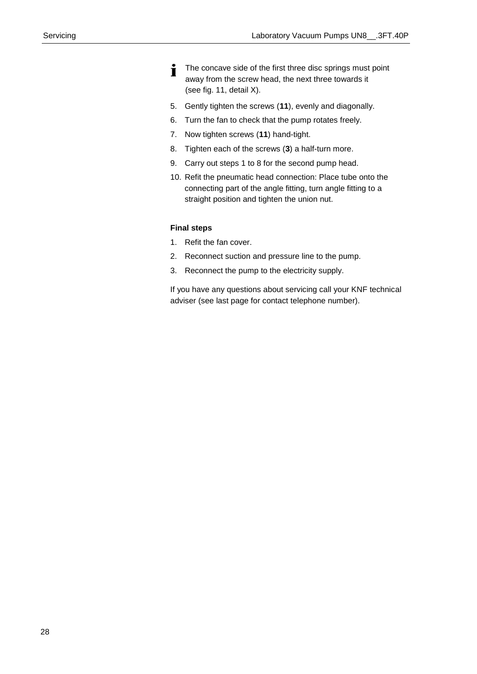- The concave side of the first three disc springs must point i away from the screw head, the next three towards it (see fig. 11, detail X).
- 5. Gently tighten the screws (**11**), evenly and diagonally.
- 6. Turn the fan to check that the pump rotates freely.
- 7. Now tighten screws (**11**) hand-tight.
- 8. Tighten each of the screws (**3**) a half-turn more.
- 9. Carry out steps 1 to 8 for the second pump head.
- 10. Refit the pneumatic head connection: Place tube onto the connecting part of the angle fitting, turn angle fitting to a straight position and tighten the union nut.

#### **Final steps**

- 1. Refit the fan cover.
- 2. Reconnect suction and pressure line to the pump.
- 3. Reconnect the pump to the electricity supply.

If you have any questions about servicing call your KNF technical adviser (see last page for contact telephone number).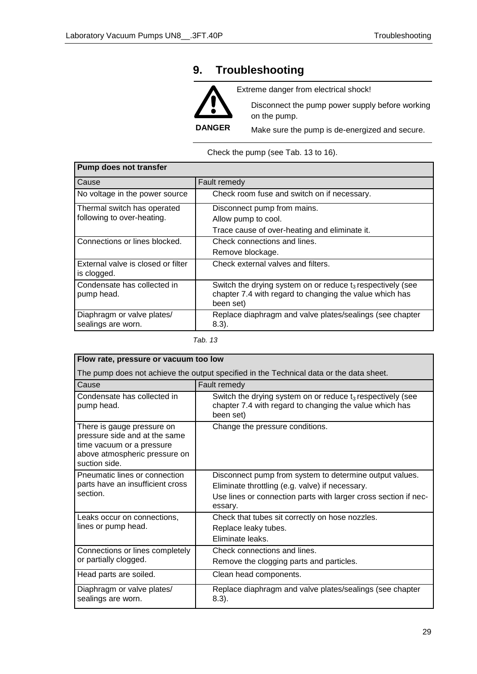## <span id="page-28-0"></span>**9. Troubleshooting**



Extreme danger from electrical shock!

Disconnect the pump power supply before working on the pump.

Make sure the pump is de-energized and secure.

Check the pump (see Tab. 13 to 16).

| Pump does not transfer                            |                                                                                                                                       |  |
|---------------------------------------------------|---------------------------------------------------------------------------------------------------------------------------------------|--|
| Cause                                             | Fault remedy                                                                                                                          |  |
| No voltage in the power source                    | Check room fuse and switch on if necessary.                                                                                           |  |
| Thermal switch has operated                       | Disconnect pump from mains.                                                                                                           |  |
| following to over-heating.                        | Allow pump to cool.                                                                                                                   |  |
|                                                   | Trace cause of over-heating and eliminate it.                                                                                         |  |
| Connections or lines blocked.                     | Check connections and lines.                                                                                                          |  |
|                                                   | Remove blockage.                                                                                                                      |  |
| External valve is closed or filter<br>is clogged. | Check external valves and filters.                                                                                                    |  |
| Condensate has collected in<br>pump head.         | Switch the drying system on or reduce $t_3$ respectively (see<br>chapter 7.4 with regard to changing the value which has<br>been set) |  |
| Diaphragm or valve plates/<br>sealings are worn.  | Replace diaphragm and valve plates/sealings (see chapter<br>$8.3$ ).                                                                  |  |

*Tab. 13*

| Flow rate, pressure or vacuum too low                                                                                                      |                                                                                                                                                                                          |  |
|--------------------------------------------------------------------------------------------------------------------------------------------|------------------------------------------------------------------------------------------------------------------------------------------------------------------------------------------|--|
| The pump does not achieve the output specified in the Technical data or the data sheet.                                                    |                                                                                                                                                                                          |  |
| Cause<br>Fault remedy                                                                                                                      |                                                                                                                                                                                          |  |
| Condensate has collected in<br>pump head.                                                                                                  | Switch the drying system on or reduce $t_3$ respectively (see<br>chapter 7.4 with regard to changing the value which has<br>been set)                                                    |  |
| There is gauge pressure on<br>pressure side and at the same<br>time vacuum or a pressure<br>above atmospheric pressure on<br>suction side. | Change the pressure conditions.                                                                                                                                                          |  |
| Pneumatic lines or connection<br>parts have an insufficient cross<br>section.                                                              | Disconnect pump from system to determine output values.<br>Eliminate throttling (e.g. valve) if necessary.<br>Use lines or connection parts with larger cross section if nec-<br>essary. |  |
| Leaks occur on connections,<br>lines or pump head.                                                                                         | Check that tubes sit correctly on hose nozzles.<br>Replace leaky tubes.<br>Eliminate leaks.                                                                                              |  |
| Connections or lines completely<br>or partially clogged.                                                                                   | Check connections and lines.<br>Remove the clogging parts and particles.                                                                                                                 |  |
| Head parts are soiled.                                                                                                                     | Clean head components.                                                                                                                                                                   |  |
| Diaphragm or valve plates/<br>sealings are worn.                                                                                           | Replace diaphragm and valve plates/sealings (see chapter<br>$8.3$ ).                                                                                                                     |  |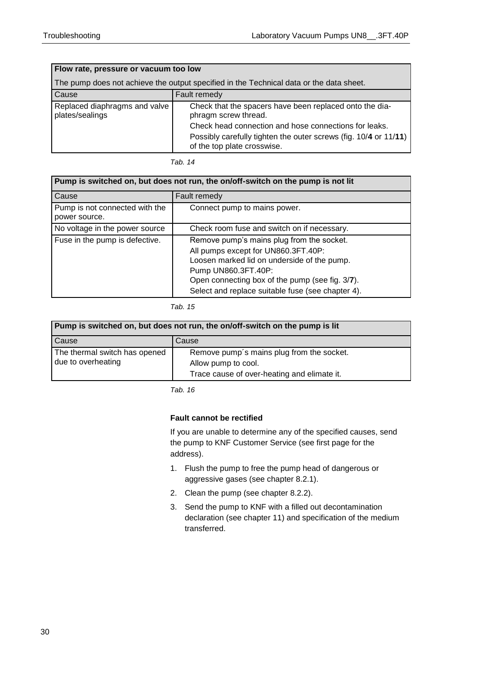| Flow rate, pressure or vacuum too low                                                   |                                                                                                                                                                                                                                             |  |
|-----------------------------------------------------------------------------------------|---------------------------------------------------------------------------------------------------------------------------------------------------------------------------------------------------------------------------------------------|--|
| The pump does not achieve the output specified in the Technical data or the data sheet. |                                                                                                                                                                                                                                             |  |
| Cause                                                                                   | Fault remedy                                                                                                                                                                                                                                |  |
| Replaced diaphragms and valve<br>plates/sealings                                        | Check that the spacers have been replaced onto the dia-<br>phragm screw thread.<br>Check head connection and hose connections for leaks.<br>Possibly carefully tighten the outer screws (fig. 10/4 or 11/11)<br>of the top plate crosswise. |  |

*Tab. 14*

| Pump is switched on, but does not run, the on/off-switch on the pump is not lit |                                                                                                                                                                                                                                                                |  |
|---------------------------------------------------------------------------------|----------------------------------------------------------------------------------------------------------------------------------------------------------------------------------------------------------------------------------------------------------------|--|
| Cause                                                                           | Fault remedy                                                                                                                                                                                                                                                   |  |
| Pump is not connected with the<br>power source.                                 | Connect pump to mains power.                                                                                                                                                                                                                                   |  |
| No voltage in the power source                                                  | Check room fuse and switch on if necessary.                                                                                                                                                                                                                    |  |
| Fuse in the pump is defective.                                                  | Remove pump's mains plug from the socket.<br>All pumps except for UN860.3FT.40P:<br>Loosen marked lid on underside of the pump.<br>Pump UN860.3FT.40P:<br>Open connecting box of the pump (see fig. 3/7).<br>Select and replace suitable fuse (see chapter 4). |  |

*Tab. 15*

| Pump is switched on, but does not run, the on/off-switch on the pump is lit |                                                                                                                 |  |
|-----------------------------------------------------------------------------|-----------------------------------------------------------------------------------------------------------------|--|
| Cause                                                                       | Cause                                                                                                           |  |
| The thermal switch has opened<br>due to overheating                         | Remove pump's mains plug from the socket.<br>Allow pump to cool.<br>Trace cause of over-heating and elimate it. |  |

*Tab. 16*

#### **Fault cannot be rectified**

If you are unable to determine any of the specified causes, send the pump to KNF Customer Service (see first page for the address).

- 1. Flush the pump to free the pump head of dangerous or aggressive gases (see chapter 8.2.1).
- 2. Clean the pump (see chapter 8.2.2).
- 3. Send the pump to KNF with a filled out decontamination declaration (see chapter 11) and specification of the medium transferred.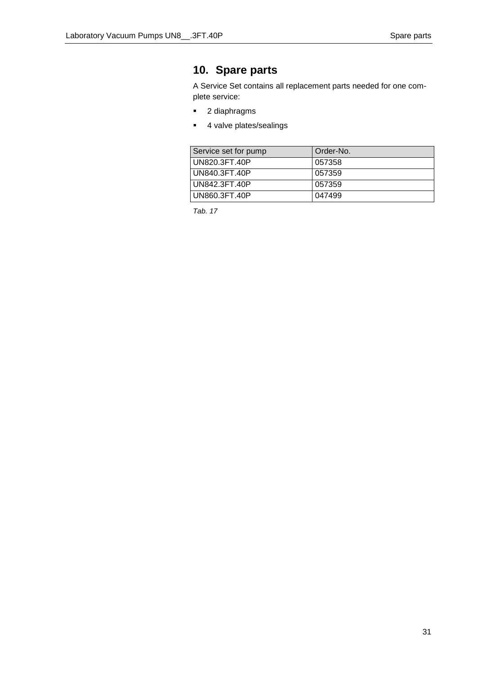## <span id="page-30-0"></span>**10. Spare parts**

A Service Set contains all replacement parts needed for one complete service:

- 2 diaphragms
- 4 valve plates/sealings

| Service set for pump | Order-No. |
|----------------------|-----------|
| UN820.3FT.40P        | 057358    |
| UN840.3FT.40P        | 057359    |
| UN842.3FT.40P        | 057359    |
| UN860.3FT.40P        | 047499    |

*Tab. 17*